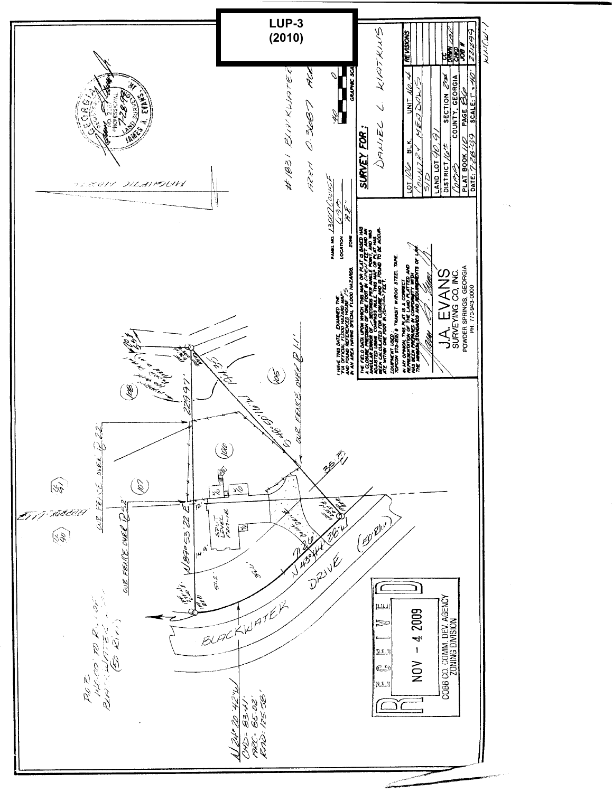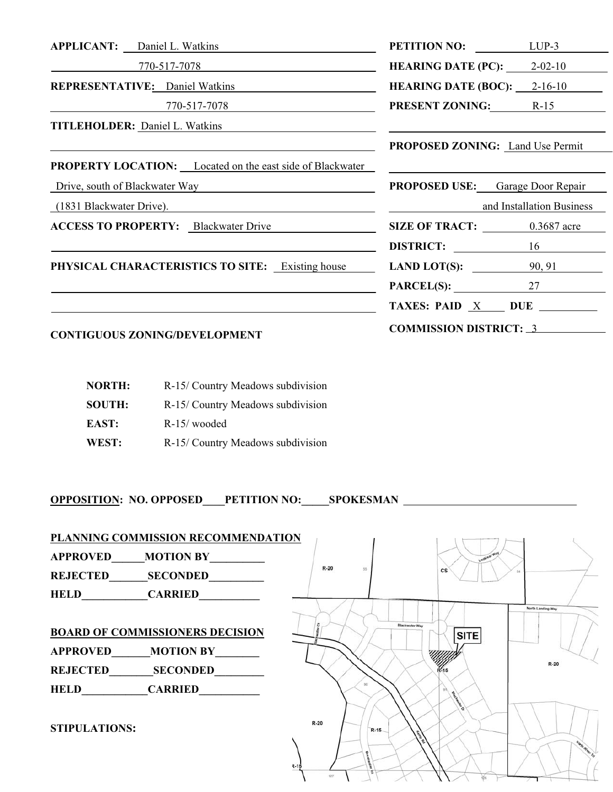| <b>APPLICANT:</b> Daniel L. Watkins                              | <b>PETITION NO:</b> LUP-3               |  |
|------------------------------------------------------------------|-----------------------------------------|--|
| 770-517-7078                                                     | <b>HEARING DATE (PC):</b> $2-02-10$     |  |
| <b>REPRESENTATIVE:</b> Daniel Watkins                            | <b>HEARING DATE (BOC):</b> $2-16-10$    |  |
| 770-517-7078                                                     | <b>PRESENT ZONING:</b> R-15             |  |
| TITLEHOLDER: Daniel L. Watkins                                   |                                         |  |
| <u> 1989 - Johann Stoff, amerikansk politiker (d. 1989)</u>      | PROPOSED ZONING: Land Use Permit        |  |
| <b>PROPERTY LOCATION:</b> Located on the east side of Blackwater |                                         |  |
| Drive, south of Blackwater Way                                   | <b>PROPOSED USE:</b> Garage Door Repair |  |
| (1831 Blackwater Drive).                                         | and Installation Business               |  |
| <b>ACCESS TO PROPERTY:</b> Blackwater Drive                      | SIZE OF TRACT: 0.3687 acre              |  |
|                                                                  | <b>DISTRICT:</b> 16                     |  |
| <b>PHYSICAL CHARACTERISTICS TO SITE:</b> Existing house          | <b>LAND LOT(S):</b> $\qquad 90,91$      |  |
|                                                                  | $PARCEL(S):$ 27                         |  |
|                                                                  |                                         |  |
| CONTICUOUS ZONING/DEVELODMENT                                    | <b>COMMISSION DISTRICT: 3</b>           |  |

#### **CONTIGUOUS ZONING/DEVELOPMENT COMMISSION DISTRICT:** <sup>3</sup>

| <b>NORTH:</b> | R-15/ Country Meadows subdivision |
|---------------|-----------------------------------|
| <b>SOUTH:</b> | R-15/ Country Meadows subdivision |
| EAST:         | $R-15$ / wooded                   |
| WEST:         | R-15/ Country Meadows subdivision |

**OPPOSITION: NO. OPPOSED\_\_\_\_PETITION NO:\_\_\_\_\_SPOKESMAN** 

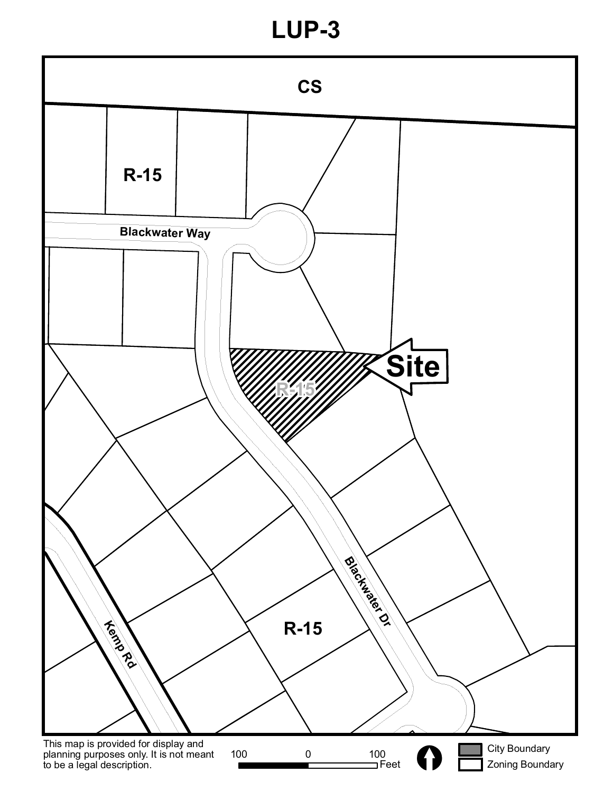# **LUP-3**

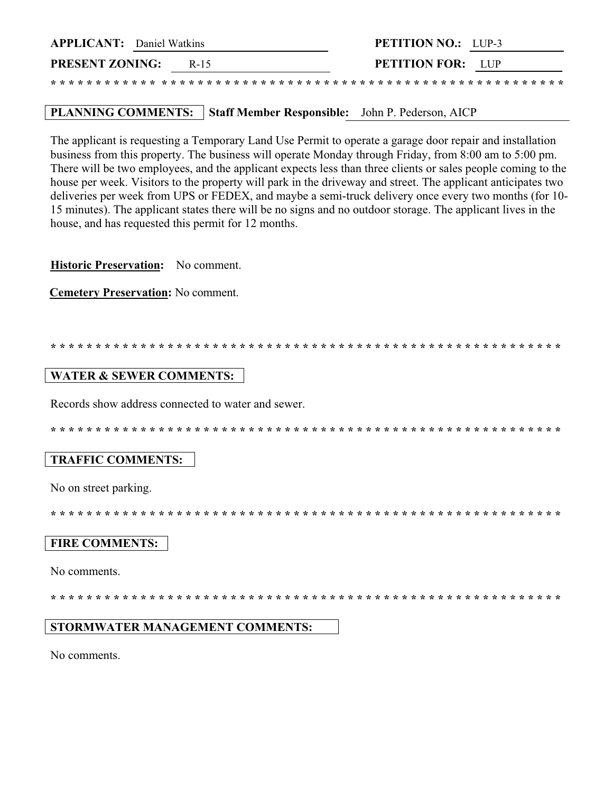| <b>APPLICANT:</b> Daniel Watkins |      | <b>PETITION NO.:</b> LUP-3 |  |
|----------------------------------|------|----------------------------|--|
| <b>PRESENT ZONING:</b>           | R-15 | <b>PETITION FOR:</b> LUP   |  |
|                                  |      |                            |  |

#### **PLANNING COMMENTS:** Staff Member Responsible: John P. Pederson, AICP

The applicant is requesting a Temporary Land Use Permit to operate a garage door repair and installation business from this property. The business will operate Monday through Friday, from 8:00 am to 5:00 pm. There will be two employees, and the applicant expects less than three clients or sales people coming to the house per week. Visitors to the property will park in the driveway and street. The applicant anticipates two deliveries per week from UPS or FEDEX, and maybe a semi-truck delivery once every two months (for 10-15 minutes). The applicant states there will be no signs and no outdoor storage. The applicant lives in the house, and has requested this permit for 12 months.

Historic Preservation: No comment.

**Cemetery Preservation: No comment.** 

#### **WATER & SEWER COMMENTS:**

Records show address connected to water and sewer.

## **TRAFFIC COMMENTS:**

No on street parking.

#### **FIRE COMMENTS:**

No comments.

## **STORMWATER MANAGEMENT COMMENTS:**

No comments.